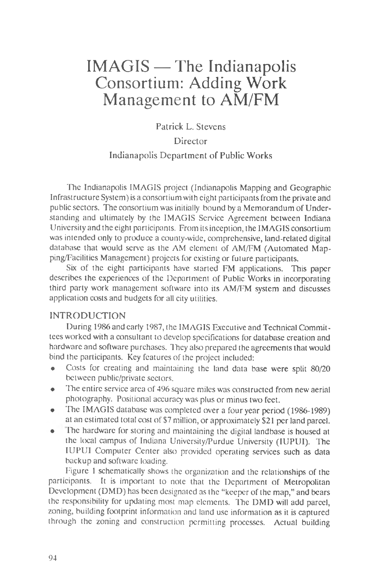# IMAGIS — The Indianapolis Consortium: Adding Work Management to AM/FM

## **Patrick L. Stevens Director Indianapolis Department of Public Works**

The Indianapolis IMAGIS project (Indianapolis Mapping and Geographic Infrastructure System) is a consortium with eight participants from the private and public sectors. The consortium was initially bound by a Memorandum of Understanding and ultimately by the IMAGIS Service Agreement between Indiana University and the eight participants. From its inception, the IMAGIS consortium was intended only to produce a county-wide, comprehensive, land-related digital database that would serve as the AM element of AM/FM (Automated Mapping/Facilities Management) projects for existing or future participants.

Six of the eight participants have started FM applications. This paper describes the experiences of the Department of Public Works in incorporating third party work management software into its AM/FM system and discusses application costs and budgets for all city utilities.

### **INTRODUCTION**

During 1986 and early 1987, the IMAGIS Executive and Technical Committees worked with a consultant to develop specifications for database creation and hardware and software purchases. They also prepared the agreements that would bind the participants. Key features of the project included:

- Costs for creating and maintaining the land data base were split 80/20 between public/private sectors.
- The entire service area of 496 square miles was constructed from new aerial photography. Positional accuracy was plus or minus two feet.
- The IMAGIS database was completed over a four year period (1986-1989) at an estimated total cost of \$7 million, or approximately \$21 per land parcel.
- The hardware for storing and maintaining the digital landbase is housed at the local campus of Indiana University/Purdue University (IUPUI). The IUPUI Computer Center also provided operating services such as data backup and software loading.

Figure 1 schematically shows the organization and the relationships of the participants. It is important to note that the Department of Metropolitan Development (DMD) has been designated as the "keeper of the map," and bears the responsibility for updating most map elements. The DMD will add parcel, zoning, building footprint information and land use information as it is captured through the zoning and construction permitting processes. Actual building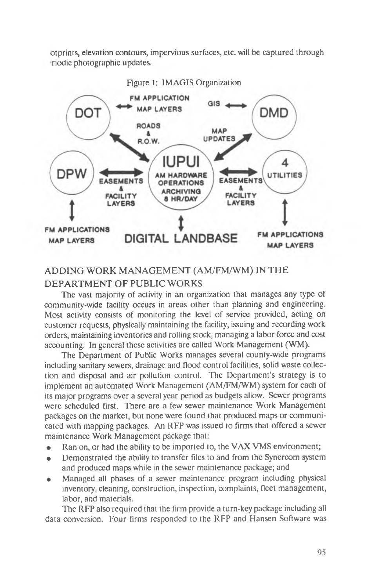otprints, elevation contours, impervious surfaces, etc. will be captured through triodic photographic updates.



## **ADDING WORK MANAGEMENT (AM/FM/WM) IN THE DEPARTMENT OF PUBLIC WORKS**

The vast majority of activity in an organization that manages any type of community-wide facility occurs in areas other than planning and engineering. Most activity consists of monitoring the level of service provided, acting on customer requests, physically maintaining the facility, issuing and recording work orders, maintaining inventories and rolling stock, managing a labor force and cost accounting. In general these activities are called Work Management (WM).

The Department of Public Works manages several county-wide programs including sanitary sewers, drainage and flood control facilities, solid waste collection and disposal and air pollution control. The Department's strategy is to implement an automated Work Management (AM/FM/WM) system for each of its major programs over a several year period as budgets allow. Sewer programs were scheduled first. There are a few sewer maintenance Work Management packages on the market, but none were found that produced maps or communicated with mapping packages. An RFP was issued to firms that offered a sewer maintenance Work Management package that:

- Ran on, or had the ability to be imported to, the VAX VMS environment;
- Demonstrated the ability to transfer files to and from the Synercom system and produced maps while in the sewer maintenance package; and
- Managed all phases of a sewer maintenance program including physical inventory, cleaning, construction, inspection, complaints, fleet management, labor, and materials.

The RFP also required that the firm provide a turn-key package including all data conversion. Four firms responded to the RFP and Hansen Software was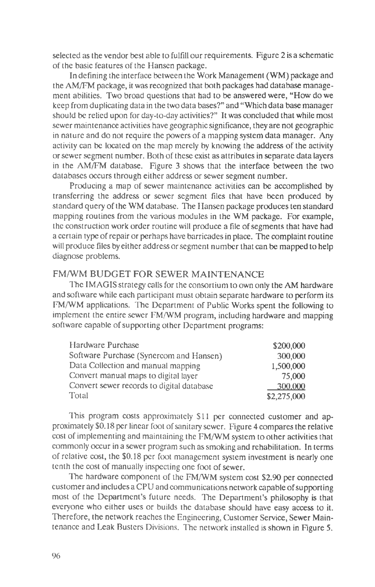selected as the vendor best able to fulfill our requirements. Figure 2 is a schematic of the basic features of the Hansen package.

In defining the interface between the Work Management (WM) package and the AM/FM package, it was recognized that both packages had database management abilities. Two broad questions that had to be answered were, "How do we keep from duplicating data in the two data bases?" and "Which data base manager should be relied upon for day-to-day activities?" It was concluded that while most sewer maintenance activities have geographic significance, they are not geographic in nature and do not require the powers of a mapping system data manager. Any activity can be located on the map merely by knowing the address of the activity or sewer segment number. Both of these exist as attributes in separate data layers in the AM/FM database. Figure 3 shows that the interface between the two databases occurs through either address or sewer segment number.

Producing a map of sewer maintenance activities can be accomplished by transferring the address or sewer segment files that have been produced by standard query of the WM database. The Hansen package produces ten standard mapping routines from the various modules in the WM package. For example, the construction work order routine will produce a file of segments that have had a certain type of repair or perhaps have barricades in place. The complaint routine will produce files by either address or segment number that can be mapped to help diagnose problems.

## **FM/WM BUDGET FOR SEWER MAINTENANCE**

The IMAGIS strategy calls for the consortium to own only the AM hardware and software while each participant must obtain separate hardware to perform its FM/WM applications. The Department of Public Works spent the following to implement the entire sewer FM/WM program, including hardware and mapping software capable of supporting other Department programs:

| Hardware Purchase                         | \$200,000   |
|-------------------------------------------|-------------|
| Software Purchase (Synercom and Hansen)   | 300,000     |
| Data Collection and manual mapping        | 1,500,000   |
| Convert manual maps to digital layer      | 75,000      |
| Convert sewer records to digital database | 300,000     |
| Total                                     | \$2,275,000 |

This program costs approximately \$11 per connected customer and approximately \$0.18 per linear foot of sanitary sewer. Figure 4 compares the relative cost of implementing and maintaining the FM/WM system to other activities that commonly occur in a sewer program such as smoking and rehabilitation. In terms of relative cost, the \$0.18 per foot management system investment is nearly one tenth the cost of manually inspecting one foot of sewer.

The hardware component of the FM/WM system cost \$2.90 per connected customer and includes a CPU and communications network capable of supporting most of the Department's future needs. The Department's philosophy is that everyone who either uses or builds the database should have easy access to it. Therefore, the network reaches the Engineering, Customer Service, Sewer Maintenance and Leak Busters Divisions. The network installed is shown in Figure 5.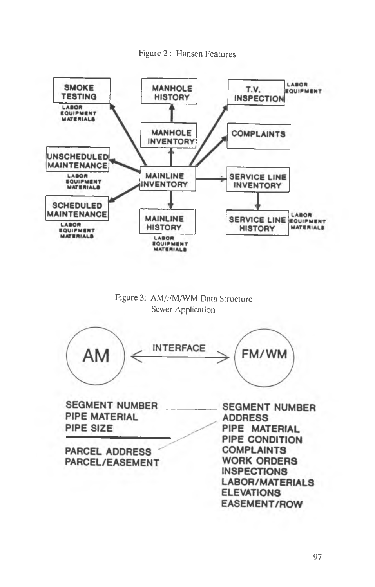





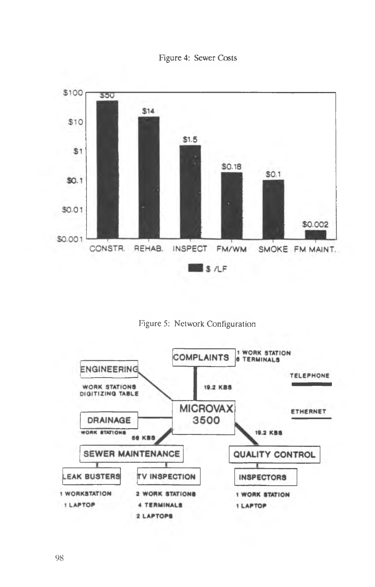



Figure 5: Network Configuration

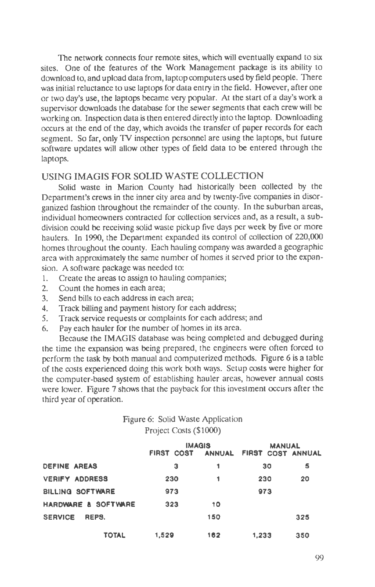The network connects four remote sites, which will eventually expand to six sites. One of the features of the Work Management package is its ability to download to, and upload data from, laptop computers used by field people. There was initial reluctance to use laptops for data entry in the field. However, after one or two day's use, the laptops became very popular. At the start of a day's work a supervisor downloads the database for the sewer segments that each crew will be working on. Inspection data is then entered directly into the laptop. Downloading occurs at the end of the day, which avoids the transfer of paper records for each segment. So far, only TV inspection personnel are using the laptops, but future software updates will allow other types of field data to be entered through the laptops.

## **USING IMAGIS FOR SOLID WASTE COLLECTION**

Solid waste in Marion County had historically been collected by the Department's crews in the inner city area and by twenty-five companies in disorganized fashion throughout the remainder of the county. In the suburban areas, individual homeowners contracted for collection services and, as a result, a subdivision could be receiving solid waste pickup five days per week by five or more haulers. In 1990, the Department expanded its control of collection of 220,000 homes throughout the county. Each hauling company was awarded a geographic area with approximately the same number of homes it served prior to the expansion. A software package was needed to:

- 1. Create the areas to assign to hauling companies;
- 2. Count the homes in each area;<br>3. Send bills to each address in ea
- Send bills to each address in each area;
- 4. Track billing and payment history for each address;
- 5. Track service requests or complaints for each address; and
- 6. Pay each hauler for the number of homes in its area.

Because the IMAGIS database was being completed and debugged during the time the expansion was being prepared, the engineers were often forced to perform the task by both manual and computerized methods. Figure 6 is a table of the costs experienced doing this work both ways. Setup costs were higher for the computer-based system of establishing hauler areas, however annual costs were lower. Figure 7 shows that the payback for this investment occurs after the third year of operation.

## Figure 6: Solid Waste Application Project Costs (\$1000)

|                         | <b>IMAGIS</b>     |     | <b>MANUAL</b>            |     |
|-------------------------|-------------------|-----|--------------------------|-----|
|                         | <b>FIRST COST</b> |     | ANNUAL FIRST COST ANNUAL |     |
| <b>DEFINE AREAS</b>     | з                 |     | 30                       | s   |
| <b>VERIFY ADDRESS</b>   | 230               |     | 230                      | 20  |
| <b>BILLING SOFTWARE</b> | 973               |     | 973                      |     |
| HARDWARE & SOFTWARE     | 323               | 10  |                          |     |
| <b>SERVICE</b><br>REPS. |                   | 150 |                          | 325 |
| TOTAL                   | 1.529             | 162 | 1,233                    | 350 |